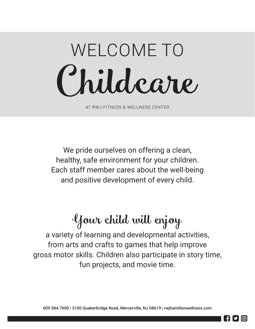# Child care WELCOME TO

AT RWJ FITNESS & WELLNESS CENTER

We pride ourselves on offering a clean, healthy, safe environment for your children. Each staff member cares about the well-being and positive development of every child.

## Your child will enjoy

a variety of learning and developmental activities, from arts and crafts to games that help improve gross motor skills. Children also participate in story time, fun projects, and movie time.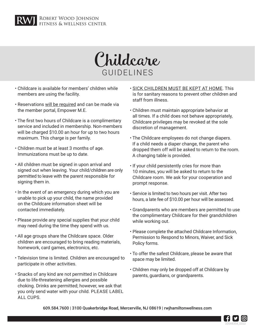



- Childcare is available for members' children while members are using the facility.
- Reservations will be required and can be made via the member portal, Empower M.E.
- The first two hours of Childcare is a complimentary service and included in membership. Non-members will be charged \$10.00 an hour for up to two hours maximum. This charge is per family.
- Children must be at least 3 months of age. Immunizations must be up to date.
- All children must be signed in upon arrival and signed out when leaving. Your child/children are only permitted to leave with the parent responsible for signing them in.
- In the event of an emergency during which you are unable to pick up your child, the name provided on the Childcare information sheet will be contacted immediately.
- Please provide any special supplies that your child may need during the time they spend with us.
- All age groups share the Childcare space. Older children are encouraged to bring reading materials, homework, card games, electronics, etc.
- Television time is limited. Children are encouraged to participate in other activities.
- Snacks of any kind are not permitted in Childcare due to life-threatening allergies and possible choking. Drinks are permitted; however, we ask that you only send water with your child. PLEASE LABEL ALL CUPS.
- SICK CHILDREN MUST BE KEPT AT HOME. This is for sanitary reasons to prevent other children and staff from illness.
- Children must maintain appropriate behavior at all times. If a child does not behave appropriately, Childcare privileges may be revoked at the sole discretion of management.
- The Childcare employees do not change diapers. If a child needs a diaper change, the parent who dropped them off will be asked to return to the room. A changing table is provided.
- If your child persistently cries for more than 10 minutes, you will be asked to return to the Childcare room. We ask for your cooperation and prompt response.
- Service is limited to two hours per visit. After two hours, a late fee of \$10.00 per hour will be assessed.
- Grandparents who are members are permitted to use the complimentary Childcare for their grandchildren while working out.
- Please complete the attached Childcare Information, Permission to Respond to Minors, Waiver, and Sick Policy forms.
- To offer the safest Childcare, please be aware that space may be limited.
- Children may only be dropped off at Childcare by parents, guardians, or grandparents.

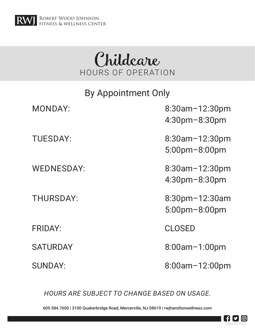

## Childcare HOURS OF OPERATION

| <b>By Appointment Only</b> |                                               |  |  |
|----------------------------|-----------------------------------------------|--|--|
| <b>MONDAY:</b>             | $8:30$ am $-12:30$ pm<br>$4:30$ pm $-8:30$ pm |  |  |
| <b>TUESDAY:</b>            | $8:30$ am $-12:30$ pm<br>$5:00$ pm $-8:00$ pm |  |  |
| <b>WEDNESDAY:</b>          | $8:30$ am $-12:30$ pm<br>$4:30$ pm $-8:30$ pm |  |  |
| <b>THURSDAY:</b>           | $8:30$ pm $-12:30$ am<br>5:00pm-8:00pm        |  |  |
| <b>FRIDAY:</b>             | <b>CLOSED</b>                                 |  |  |
| <b>SATURDAY</b>            | $8:00$ am $-1:00$ pm                          |  |  |
| <b>SUNDAY:</b>             | 8:00am-12:00pm                                |  |  |

*HOURS ARE SUBJECT TO CHANGE BASED ON USAGE.*

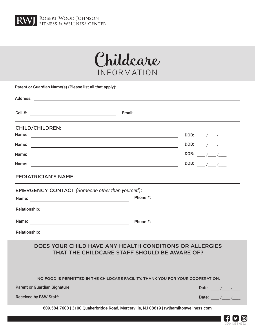



| Parent or Guardian Name(s) (Please list all that apply):<br>and the control of the control of the control of the control of the control of the control of the control of the                                                         |  |                                                                         |  |  |  |  |  |
|--------------------------------------------------------------------------------------------------------------------------------------------------------------------------------------------------------------------------------------|--|-------------------------------------------------------------------------|--|--|--|--|--|
|                                                                                                                                                                                                                                      |  |                                                                         |  |  |  |  |  |
| Email: <u>Alexander Alexander Alexander Alexander Alexander Alexander Alexander Alexander Alexander Alexander Alexander Alexander Alexander Alexander Alexander Alexander Alexander Alexander Alexander Alexander Alexander Alex</u> |  |                                                                         |  |  |  |  |  |
| <b>CHILD/CHILDREN:</b>                                                                                                                                                                                                               |  |                                                                         |  |  |  |  |  |
| Name:<br><u> 1989 - Johann John Stone, market fan it ferstjer fan de fan it ferstjer fan it ferstjer fan it ferstjer fan i</u>                                                                                                       |  |                                                                         |  |  |  |  |  |
| Name:<br><u> 1989 - Johann Barbara, martxa alemaniar amerikan personal (h. 1989).</u>                                                                                                                                                |  | DOB: $\sqrt{2}$                                                         |  |  |  |  |  |
| Name:<br><u> 1989 - Johann Stoff, deutscher Stoff, der Stoff, der Stoff, der Stoff, der Stoff, der Stoff, der Stoff, der S</u>                                                                                                       |  |                                                                         |  |  |  |  |  |
| Name:<br><u> 1989 - Johann Barn, fransk politik (f. 1989)</u>                                                                                                                                                                        |  | DOB: $\frac{1}{2}$                                                      |  |  |  |  |  |
|                                                                                                                                                                                                                                      |  |                                                                         |  |  |  |  |  |
| <b>EMERGENCY CONTACT</b> (Someone other than yourself):<br><u> 1989 - Johann Barbara, martxa alemaniar a</u><br>Name:                                                                                                                |  | Phone $\#$ :                                                            |  |  |  |  |  |
|                                                                                                                                                                                                                                      |  |                                                                         |  |  |  |  |  |
|                                                                                                                                                                                                                                      |  |                                                                         |  |  |  |  |  |
|                                                                                                                                                                                                                                      |  |                                                                         |  |  |  |  |  |
| DOES YOUR CHILD HAVE ANY HEALTH CONDITIONS OR ALLERGIES<br>THAT THE CHILDCARE STAFF SHOULD BE AWARE OF?                                                                                                                              |  |                                                                         |  |  |  |  |  |
| NO FOOD IS PERMITTED IN THE CHILDCARE FACILITY. THANK YOU FOR YOUR COOPERATION.                                                                                                                                                      |  |                                                                         |  |  |  |  |  |
| <b>Parent or Guardian Signature:</b>                                                                                                                                                                                                 |  |                                                                         |  |  |  |  |  |
| <b>Received by F&amp;W Staff:</b>                                                                                                                                                                                                    |  | Date: $\frac{1}{2}$ / $\frac{1}{2}$ / $\frac{1}{2}$<br>Date: $\sqrt{2}$ |  |  |  |  |  |
| <u> 1980 - Johann Barn, marwolaethau a bhann an t-Alban an t-Alban an t-Alban an t-Alban an t-Alban an t-Alban a</u>                                                                                                                 |  |                                                                         |  |  |  |  |  |
| 609.584.7600   3100 Quakerbridge Road, Mercerville, NJ 08619   rwjhamiltonwellness.com                                                                                                                                               |  |                                                                         |  |  |  |  |  |

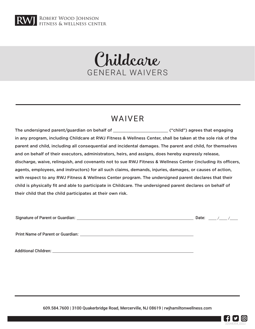

## Childcare GENERAL WAIVERS

### WAIVER

The undersigned parent/guardian on behalf of \_\_\_\_\_\_\_\_\_\_\_\_\_\_\_\_\_\_\_\_\_\_ ("child") agrees that engaging in any program, including Childcare at RWJ Fitness & Wellness Center, shall be taken at the sole risk of the parent and child, including all consequential and incidental damages. The parent and child, for themselves and on behalf of their executors, administrators, heirs, and assigns, does hereby expressly release, discharge, waive, relinquish, and covenants not to sue RWJ Fitness & Wellness Center (including its officers, agents, employees, and instructors) for all such claims, demands, injuries, damages, or causes of action, with respect to any RWJ Fitness & Wellness Center program. The undersigned parent declares that their child is physically fit and able to participate in Childcare. The undersigned parent declares on behalf of their child that the child participates at their own risk.

Signature of Parent or Guardian:  $\frac{1}{2}$  Date:  $\frac{1}{2}$  Date:  $\frac{1}{2}$  Date:  $\frac{1}{2}$ 

Print Name of Parent or Guardian:

Additional Children:

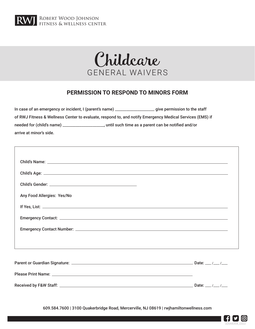

 $\sqrt{ }$ 

**RWJ** ROBERT WOOD JOHNSON



#### **PERMISSION TO RESPOND TO MINORS FORM**

| In case of an emergency or incident, I (parent's name) _________________________                         | give permission to the staff                       |  |  |  |  |
|----------------------------------------------------------------------------------------------------------|----------------------------------------------------|--|--|--|--|
| of RWJ Fitness & Wellness Center to evaluate, respond to, and notify Emergency Medical Services (EMS) if |                                                    |  |  |  |  |
| needed for (child's name) ___                                                                            | until such time as a parent can be notified and/or |  |  |  |  |
| arrive at minor's side.                                                                                  |                                                    |  |  |  |  |

| Any Food Allergies: Yes/No |  |
|----------------------------|--|
|                            |  |
|                            |  |
|                            |  |
|                            |  |
|                            |  |
|                            |  |
|                            |  |
|                            |  |